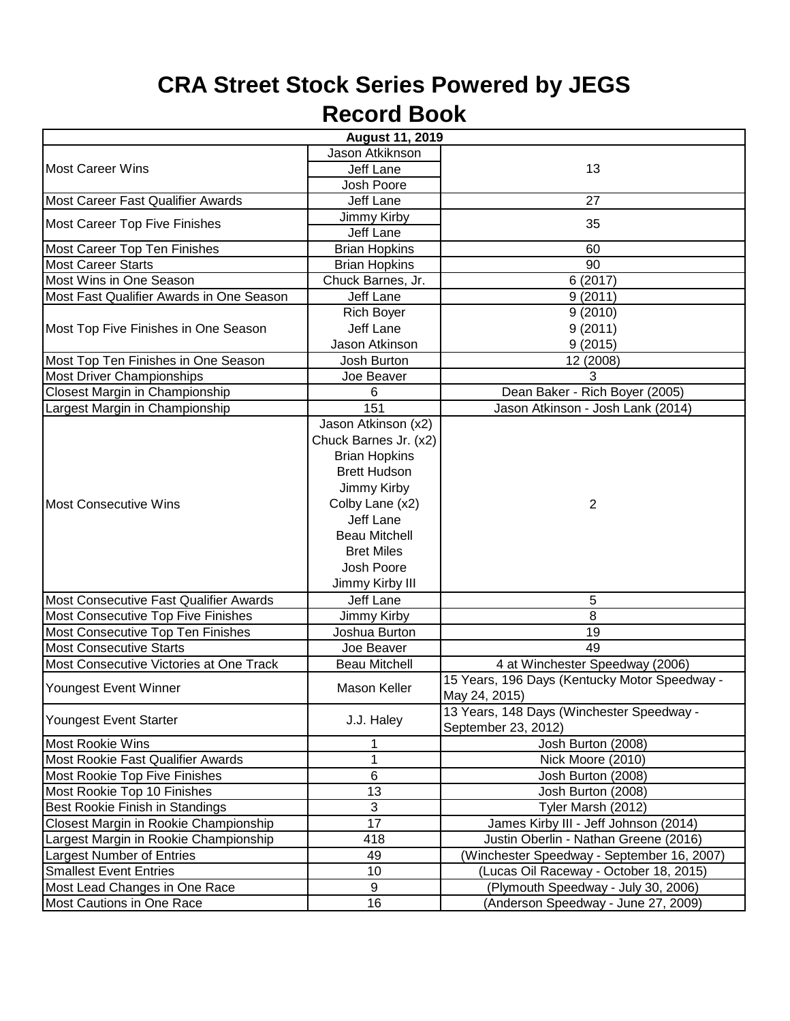## **CRA Street Stock Series Powered by JEGS Record Book**

| <b>August 11, 2019</b>                   |                       |                                               |  |  |
|------------------------------------------|-----------------------|-----------------------------------------------|--|--|
| <b>Most Career Wins</b>                  | Jason Atkiknson       |                                               |  |  |
|                                          | Jeff Lane             | 13                                            |  |  |
|                                          | Josh Poore            |                                               |  |  |
| Most Career Fast Qualifier Awards        | Jeff Lane             | 27                                            |  |  |
| <b>Most Career Top Five Finishes</b>     | Jimmy Kirby           | 35                                            |  |  |
|                                          | Jeff Lane             |                                               |  |  |
| Most Career Top Ten Finishes             | <b>Brian Hopkins</b>  | 60                                            |  |  |
| <b>Most Career Starts</b>                | <b>Brian Hopkins</b>  | 90                                            |  |  |
| Most Wins in One Season                  | Chuck Barnes, Jr.     | 6(2017)                                       |  |  |
| Most Fast Qualifier Awards in One Season | Jeff Lane             | 9(2011)                                       |  |  |
| Most Top Five Finishes in One Season     | <b>Rich Boyer</b>     | 9(2010)                                       |  |  |
|                                          | Jeff Lane             | 9(2011)                                       |  |  |
|                                          | Jason Atkinson        | 9(2015)                                       |  |  |
| Most Top Ten Finishes in One Season      | Josh Burton           | 12 (2008)                                     |  |  |
| <b>Most Driver Championships</b>         | Joe Beaver            | 3                                             |  |  |
| Closest Margin in Championship           | 6                     | Dean Baker - Rich Boyer (2005)                |  |  |
| Largest Margin in Championship           | 151                   | Jason Atkinson - Josh Lank (2014)             |  |  |
|                                          | Jason Atkinson (x2)   |                                               |  |  |
|                                          | Chuck Barnes Jr. (x2) |                                               |  |  |
|                                          | <b>Brian Hopkins</b>  |                                               |  |  |
|                                          | <b>Brett Hudson</b>   |                                               |  |  |
|                                          | Jimmy Kirby           |                                               |  |  |
| Most Consecutive Wins                    | Colby Lane (x2)       | $\overline{2}$                                |  |  |
|                                          | <b>Jeff Lane</b>      |                                               |  |  |
|                                          | <b>Beau Mitchell</b>  |                                               |  |  |
|                                          | <b>Bret Miles</b>     |                                               |  |  |
|                                          | Josh Poore            |                                               |  |  |
|                                          | Jimmy Kirby III       |                                               |  |  |
| Most Consecutive Fast Qualifier Awards   | Jeff Lane             | 5                                             |  |  |
| Most Consecutive Top Five Finishes       | Jimmy Kirby           | 8                                             |  |  |
| Most Consecutive Top Ten Finishes        | Joshua Burton         | 19                                            |  |  |
| <b>Most Consecutive Starts</b>           | Joe Beaver            | 49                                            |  |  |
| Most Consecutive Victories at One Track  | <b>Beau Mitchell</b>  | 4 at Winchester Speedway (2006)               |  |  |
| Youngest Event Winner                    | Mason Keller          | 15 Years, 196 Days (Kentucky Motor Speedway - |  |  |
|                                          |                       | May 24, 2015)                                 |  |  |
| Youngest Event Starter                   | J.J. Haley            | 13 Years, 148 Days (Winchester Speedway -     |  |  |
|                                          |                       | September 23, 2012)                           |  |  |
| Most Rookie Wins                         | 1                     | Josh Burton (2008)                            |  |  |
| Most Rookie Fast Qualifier Awards        | $\mathbf 1$           | Nick Moore (2010)                             |  |  |
| Most Rookie Top Five Finishes            | 6                     | Josh Burton (2008)                            |  |  |
| Most Rookie Top 10 Finishes              | 13                    | Josh Burton (2008)                            |  |  |
| Best Rookie Finish in Standings          | $\overline{3}$        | Tyler Marsh (2012)                            |  |  |
| Closest Margin in Rookie Championship    | 17                    | James Kirby III - Jeff Johnson (2014)         |  |  |
| Largest Margin in Rookie Championship    | 418                   | Justin Oberlin - Nathan Greene (2016)         |  |  |
| Largest Number of Entries                | 49                    | (Winchester Speedway - September 16, 2007)    |  |  |
| <b>Smallest Event Entries</b>            | 10                    | (Lucas Oil Raceway - October 18, 2015)        |  |  |
| Most Lead Changes in One Race            | 9                     | (Plymouth Speedway - July 30, 2006)           |  |  |
| Most Cautions in One Race                | 16                    | (Anderson Speedway - June 27, 2009)           |  |  |